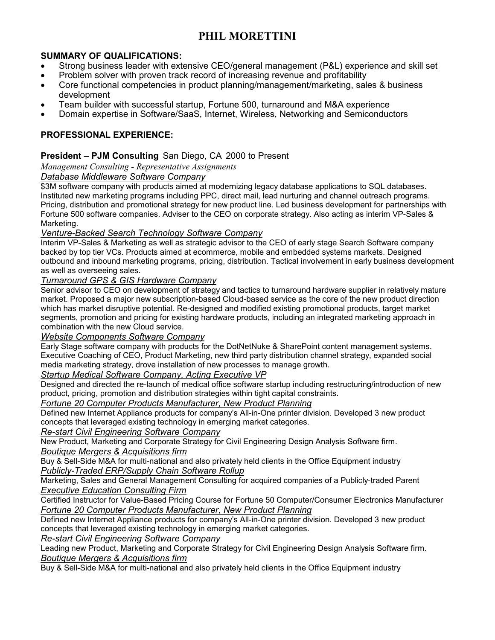# **PHIL MORETTINI**

## **SUMMARY OF QUALIFICATIONS:**

- Strong business leader with extensive CEO/general management (P&L) experience and skill set
- Problem solver with proven track record of increasing revenue and profitability
- Core functional competencies in product planning/management/marketing, sales & business development
- Team builder with successful startup, Fortune 500, turnaround and M&A experience
- Domain expertise in Software/SaaS, Internet, Wireless, Networking and Semiconductors

# **PROFESSIONAL EXPERIENCE:**

## **President – PJM Consulting** San Diego, CA 2000 to Present

*Management Consulting - Representative Assignments* 

## *Database Middleware Software Company*

\$3M software company with products aimed at modernizing legacy database applications to SQL databases. Instituted new marketing programs including PPC, direct mail, lead nurturing and channel outreach programs. Pricing, distribution and promotional strategy for new product line. Led business development for partnerships with Fortune 500 software companies. Adviser to the CEO on corporate strategy. Also acting as interim VP-Sales & Marketing.

#### *Venture-Backed Search Technology Software Company*

Interim VP-Sales & Marketing as well as strategic advisor to the CEO of early stage Search Software company backed by top tier VCs. Products aimed at ecommerce, mobile and embedded systems markets. Designed outbound and inbound marketing programs, pricing, distribution. Tactical involvement in early business development as well as overseeing sales.

## *Turnaround GPS & GIS Hardware Company*

Senior advisor to CEO on development of strategy and tactics to turnaround hardware supplier in relatively mature market. Proposed a major new subscription-based Cloud-based service as the core of the new product direction which has market disruptive potential. Re-designed and modified existing promotional products, target market segments, promotion and pricing for existing hardware products, including an integrated marketing approach in combination with the new Cloud service.

#### *Website Components Software Company*

Early Stage software company with products for the DotNetNuke & SharePoint content management systems. Executive Coaching of CEO, Product Marketing, new third party distribution channel strategy, expanded social media marketing strategy, drove installation of new processes to manage growth.

#### *Startup Medical Software Company, Acting Executive VP*

Designed and directed the re-launch of medical office software startup including restructuring/introduction of new product, pricing, promotion and distribution strategies within tight capital constraints.

#### *Fortune 20 Computer Products Manufacturer, New Product Planning*

Defined new Internet Appliance products for company's All-in-One printer division. Developed 3 new product concepts that leveraged existing technology in emerging market categories.

*Re-start Civil Engineering Software Company*

New Product, Marketing and Corporate Strategy for Civil Engineering Design Analysis Software firm. *Boutique Mergers & Acquisitions firm*

Buy & Sell-Side M&A for multi-national and also privately held clients in the Office Equipment industry *Publicly-Traded ERP/Supply Chain Software Rollup*

Marketing, Sales and General Management Consulting for acquired companies of a Publicly-traded Parent *Executive Education Consulting Firm*

Certified Instructor for Value-Based Pricing Course for Fortune 50 Computer/Consumer Electronics Manufacturer *Fortune 20 Computer Products Manufacturer, New Product Planning*

Defined new Internet Appliance products for company's All-in-One printer division. Developed 3 new product concepts that leveraged existing technology in emerging market categories.

*Re-start Civil Engineering Software Company*

Leading new Product, Marketing and Corporate Strategy for Civil Engineering Design Analysis Software firm. *Boutique Mergers & Acquisitions firm*

Buy & Sell-Side M&A for multi-national and also privately held clients in the Office Equipment industry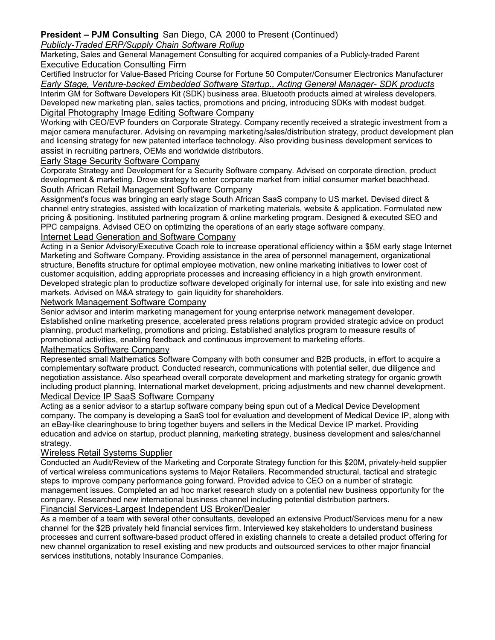# **President – PJM Consulting** San Diego, CA 2000 to Present (Continued)

## *Publicly-Traded ERP/Supply Chain Software Rollup*

Marketing, Sales and General Management Consulting for acquired companies of a Publicly-traded Parent Executive Education Consulting Firm

## Certified Instructor for Value-Based Pricing Course for Fortune 50 Computer/Consumer Electronics Manufacturer *Early Stage, Venture-backed Embedded Software Startup., Acting General Manager- SDK products* Interim GM for Software Developers Kit (SDK) business area. Bluetooth products aimed at wireless developers. Developed new marketing plan, sales tactics, promotions and pricing, introducing SDKs with modest budget.

## Digital Photography Image Editing Software Company

Working with CEO/EVP founders on Corporate Strategy. Company recently received a strategic investment from a major camera manufacturer. Advising on revamping marketing/sales/distribution strategy, product development plan and licensing strategy for new patented interface technology. Also providing business development services to assist in recruiting partners, OEMs and worldwide distributors.

#### Early Stage Security Software Company

Corporate Strategy and Development for a Security Software company. Advised on corporate direction, product development & marketing. Drove strategy to enter corporate market from initial consumer market beachhead. South African Retail Management Software Company

Assignment's focus was bringing an early stage South African SaaS company to US market. Devised direct & channel entry strategies, assisted with localization of marketing materials, website & application. Formulated new pricing & positioning. Instituted partnering program & online marketing program. Designed & executed SEO and PPC campaigns. Advised CEO on optimizing the operations of an early stage software company.

#### Internet Lead Generation and Software Company

Acting in a Senior Advisory/Executive Coach role to increase operational efficiency within a \$5M early stage Internet Marketing and Software Company. Providing assistance in the area of personnel management, organizational structure, Benefits structure for optimal employee motivation, new online marketing initiatives to lower cost of customer acquisition, adding appropriate processes and increasing efficiency in a high growth environment. Developed strategic plan to productize software developed originally for internal use, for sale into existing and new markets. Advised on M&A strategy to gain liquidity for shareholders.

#### Network Management Software Company

Senior advisor and interim marketing management for young enterprise network management developer. Established online marketing presence, accelerated press relations program provided strategic advice on product planning, product marketing, promotions and pricing. Established analytics program to measure results of promotional activities, enabling feedback and continuous improvement to marketing efforts.

#### Mathematics Software Company

Represented small Mathematics Software Company with both consumer and B2B products, in effort to acquire a complementary software product. Conducted research, communications with potential seller, due diligence and negotiation assistance. Also spearhead overall corporate development and marketing strategy for organic growth including product planning, International market development, pricing adjustments and new channel development. Medical Device IP SaaS Software Company

Acting as a senior advisor to a startup software company being spun out of a Medical Device Development company. The company is developing a SaaS tool for evaluation and development of Medical Device IP, along with an eBay-like clearinghouse to bring together buyers and sellers in the Medical Device IP market. Providing education and advice on startup, product planning, marketing strategy, business development and sales/channel strategy.

#### Wireless Retail Systems Supplier

Conducted an Audit/Review of the Marketing and Corporate Strategy function for this \$20M, privately-held supplier of vertical wireless communications systems to Major Retailers. Recommended structural, tactical and strategic steps to improve company performance going forward. Provided advice to CEO on a number of strategic management issues. Completed an ad hoc market research study on a potential new business opportunity for the company. Researched new international business channel including potential distribution partners. Financial Services-Largest Independent US Broker/Dealer

As a member of a team with several other consultants, developed an extensive Product/Services menu for a new channel for the \$2B privately held financial services firm. Interviewed key stakeholders to understand business processes and current software-based product offered in existing channels to create a detailed product offering for new channel organization to resell existing and new products and outsourced services to other major financial services institutions, notably Insurance Companies.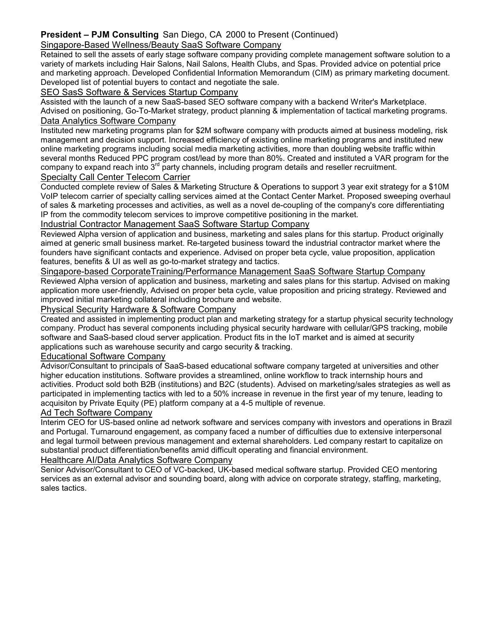## **President – PJM Consulting** San Diego, CA 2000 to Present (Continued)

## Singapore-Based Wellness/Beauty SaaS Software Company

Retained to sell the assets of early stage software company providing complete management software solution to a variety of markets including Hair Salons, Nail Salons, Health Clubs, and Spas. Provided advice on potential price and marketing approach. Developed Confidential Information Memorandum (CIM) as primary marketing document. Developed list of potential buyers to contact and negotiate the sale.

#### SEO SasS Software & Services Startup Company

Assisted with the launch of a new SaaS-based SEO software company with a backend Writer's Marketplace. Advised on positioning, Go-To-Market strategy, product planning & implementation of tactical marketing programs. Data Analytics Software Company

Instituted new marketing programs plan for \$2M software company with products aimed at business modeling, risk management and decision support. Increased efficiency of existing online marketing programs and instituted new online marketing programs including social media marketing activities, more than doubling website traffic within several months Reduced PPC program cost/lead by more than 80%. Created and instituted a VAR program for the company to expand reach into  $3<sup>rd</sup>$  party channels, including program details and reseller recruitment. Specialty Call Center Telecom Carrier

#### Conducted complete review of Sales & Marketing Structure & Operations to support 3 year exit strategy for a \$10M VoIP telecom carrier of specialty calling services aimed at the Contact Center Market. Proposed sweeping overhaul of sales & marketing processes and activities, as well as a novel de-coupling of the company's core differentiating

IP from the commodity telecom services to improve competitive positioning in the market.

#### Industrial Contractor Management SaaS Software Startup Company

Reviewed Alpha version of application and business, marketing and sales plans for this startup. Product originally aimed at generic small business market. Re-targeted business toward the industrial contractor market where the founders have significant contacts and experience. Advised on proper beta cycle, value proposition, application features, benefits & UI as well as go-to-market strategy and tactics.

Singapore-based CorporateTraining/Performance Management SaaS Software Startup Company Reviewed Alpha version of application and business, marketing and sales plans for this startup. Advised on making application more user-friendly, Advised on proper beta cycle, value proposition and pricing strategy. Reviewed and improved initial marketing collateral including brochure and website.

#### Physical Security Hardware & Software Company

Created and assisted in implementing product plan and marketing strategy for a startup physical security technology company. Product has several components including physical security hardware with cellular/GPS tracking, mobile software and SaaS-based cloud server application. Product fits in the IoT market and is aimed at security applications such as warehouse security and cargo security & tracking.

#### Educational Software Company

Advisor/Consultant to principals of SaaS-based educational software company targeted at universities and other higher education institutions. Software provides a streamlined, online workflow to track internship hours and activities. Product sold both B2B (institutions) and B2C (students). Advised on marketing/sales strategies as well as participated in implementing tactics with led to a 50% increase in revenue in the first year of my tenure, leading to acquisiton by Private Equity (PE) platform company at a 4-5 multiple of revenue.

#### Ad Tech Software Company

Interim CEO for US-based online ad network software and services company with investors and operations in Brazil and Portugal. Turnaround engagement, as company faced a number of difficulties due to extensive interpersonal and legal turmoil between previous management and external shareholders. Led company restart to capitalize on substantial product differentiation/benefits amid difficult operating and financial environment.

#### Healthcare AI/Data Analytics Software Company

Senior Advisor/Consultant to CEO of VC-backed, UK-based medical software startup. Provided CEO mentoring services as an external advisor and sounding board, along with advice on corporate strategy, staffing, marketing, sales tactics.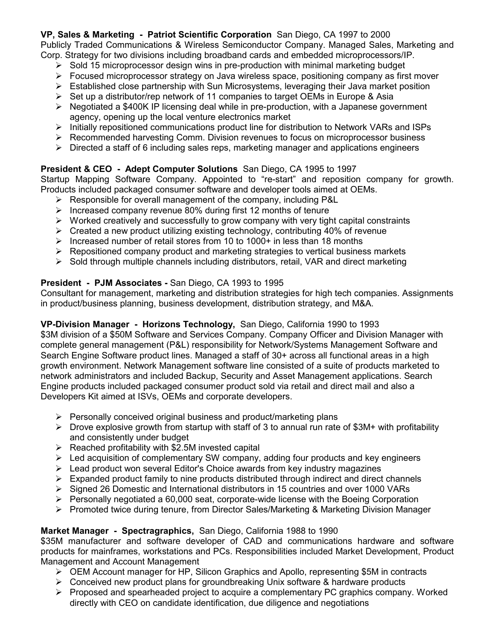# **VP, Sales & Marketing - Patriot Scientific Corporation** San Diego, CA 1997 to 2000

Publicly Traded Communications & Wireless Semiconductor Company. Managed Sales, Marketing and Corp. Strategy for two divisions including broadband cards and embedded microprocessors/IP.

- $\triangleright$  Sold 15 microprocessor design wins in pre-production with minimal marketing budget
- $\triangleright$  Focused microprocessor strategy on Java wireless space, positioning company as first mover
- $\triangleright$  Established close partnership with Sun Microsystems, leveraging their Java market position
- $\triangleright$  Set up a distributor/rep network of 11 companies to target OEMs in Europe & Asia
- $\triangleright$  Negotiated a \$400K IP licensing deal while in pre-production, with a Japanese government agency, opening up the local venture electronics market
- $\triangleright$  Initially repositioned communications product line for distribution to Network VARs and ISPs
- $\triangleright$  Recommended harvesting Comm. Division revenues to focus on microprocessor business
- $\triangleright$  Directed a staff of 6 including sales reps, marketing manager and applications engineers

# **President & CEO - Adept Computer Solutions** San Diego, CA 1995 to 1997

Startup Mapping Software Company. Appointed to "re-start" and reposition company for growth. Products included packaged consumer software and developer tools aimed at OEMs.

- $\triangleright$  Responsible for overall management of the company, including P&L
- $\triangleright$  Increased company revenue 80% during first 12 months of tenure
- $\triangleright$  Worked creatively and successfully to grow company with very tight capital constraints
- $\triangleright$  Created a new product utilizing existing technology, contributing 40% of revenue
- Increased number of retail stores from 10 to 1000+ in less than 18 months
- $\triangleright$  Repositioned company product and marketing strategies to vertical business markets
- $\triangleright$  Sold through multiple channels including distributors, retail, VAR and direct marketing

# **President - PJM Associates -** San Diego, CA 1993 to 1995

Consultant for management, marketing and distribution strategies for high tech companies. Assignments in product/business planning, business development, distribution strategy, and M&A.

# **VP-Division Manager - Horizons Technology,** San Diego, California 1990 to 1993

\$3M division of a \$50M Software and Services Company. Company Officer and Division Manager with complete general management (P&L) responsibility for Network/Systems Management Software and Search Engine Software product lines. Managed a staff of 30+ across all functional areas in a high growth environment. Network Management software line consisted of a suite of products marketed to network administrators and included Backup, Security and Asset Management applications. Search Engine products included packaged consumer product sold via retail and direct mail and also a Developers Kit aimed at ISVs, OEMs and corporate developers.

- $\triangleright$  Personally conceived original business and product/marketing plans
- $\triangleright$  Drove explosive growth from startup with staff of 3 to annual run rate of \$3M+ with profitability and consistently under budget
- $\triangleright$  Reached profitability with \$2.5M invested capital
- $\triangleright$  Led acquisition of complementary SW company, adding four products and key engineers
- $\triangleright$  Lead product won several Editor's Choice awards from key industry magazines
- $\triangleright$  Expanded product family to nine products distributed through indirect and direct channels
- $\triangleright$  Signed 26 Domestic and International distributors in 15 countries and over 1000 VARs
- Personally negotiated a 60,000 seat, corporate-wide license with the Boeing Corporation
- $\triangleright$  Promoted twice during tenure, from Director Sales/Marketing & Marketing Division Manager

# **Market Manager - Spectragraphics,** San Diego, California 1988 to 1990

\$35M manufacturer and software developer of CAD and communications hardware and software products for mainframes, workstations and PCs. Responsibilities included Market Development, Product Management and Account Management

- $\triangleright$  OEM Account manager for HP, Silicon Graphics and Apollo, representing \$5M in contracts
- $\triangleright$  Conceived new product plans for groundbreaking Unix software & hardware products
- $\triangleright$  Proposed and spearheaded project to acquire a complementary PC graphics company. Worked directly with CEO on candidate identification, due diligence and negotiations